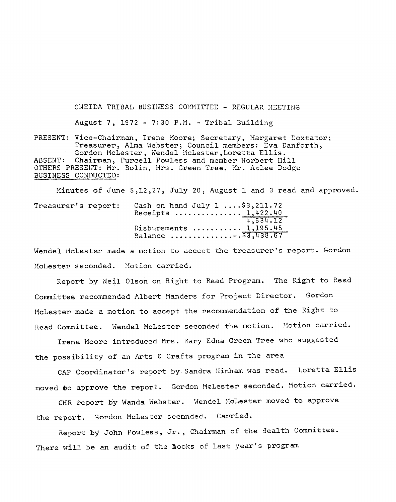ONEIDA TRIBAL BUSINESS COMMITTEE - REGULAR MEETING August 7, 1972 - 7:30 P.M. - Tribal Building PRESENT: Vice-Chairman, Irene Moore; Secretary, Margaret Doxtator;

Treasurer, Alma Webster; Council members: Eva Danforth, Gordon McLester, Wendel McLester, Loretta Ellis. Chairman, Purcell Powless and member Norbert Hill ABSENT: OTHERS PRESENT: Mr. Bolin, Mrs. Green Tree, Mr. Atlee Dodge BUSINESS CONDUCTED:

Minutes of June 5,12,27, July 20, August 1 and 3 read and approved.

| Treasurer's report: |  | Cash on hand $July 1  $3,211.72$<br>Receipts $1,422.40$ |
|---------------------|--|---------------------------------------------------------|
|                     |  | 4,634.12                                                |
|                     |  | Disbursments $1,195.45$                                 |
|                     |  | Balance 53,438.67                                       |

Wendel McLester made a motion to accept the treasurer's report. Gordon McLester seconded. Motion carried.

Report by Neil Olson on Right to Read Program. The Right to Read Committee recommended Albert Manders for Project Director. Gordon McLester made a motion to accept the recommendation of the Right to Read Committee. Wendel McLester seconded the motion. Motion carried.

Irene Moore introduced Mrs. Mary Edna Green Tree who suggested the possibility of an Arts & Crafts program in the area

CAP Coordinator's report by Sandra Ninham was read. Loretta Ellis moved to approve the report. Gordon McLester seconded. Motion carried.

CHR report by Wanda Webster. Wendel McLester moved to approve the report. Gordon McLester seconded. Carried.

Report by John Powless, Jr., Chairman of the Health Committee. There will be an audit of the books of last year's program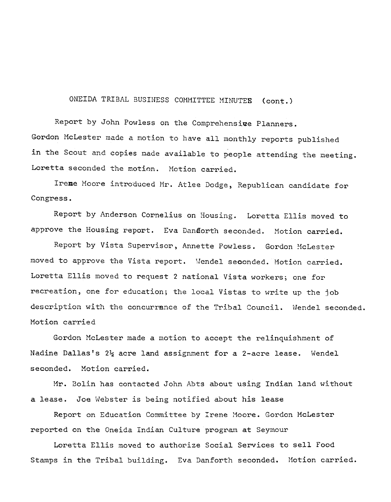ONEIDA TRIBAL BUSINESS COMMITTEE MINUTEB (cont.)

Report by John Powless on the Comprehensive Planners. Gordon HcLester made a motion to have all monthly reports published in the Scout and copies made available to people attending the meeting. Loretta seconded the motion. Hotion carried.

Ireme Hoore introduced Hr. Atlee Dodge, Republican candidate for Congress.

Report by Anderson Cornelius on Housing. Loretta Ellis moved to approve the Housing report. Eva Dandorth seconded. Motion carried.

Report by Vista Supervisor, Annette Powless. Gordon McLester moved to approve the Vista report. Wendel seconded. Motion carried. Loretta Ellis moved to request 2 national Vista workers; one for recreation, one for education; the local Vistas to write up the job description with the concurrance of the Tribal Council. Wendel seconded. Motion carried

Gordon McLester made a motion to accept the relinquishment of Nadine Dallas's 2½ acre land assignment for a 2-acre lease. Wendel seconded. Motion carried.

Hr. Bolin has contacted John Abts about using Indian land *vli* thout a lease. Joe Webster is being notified about his lease

Report on Education Committee by Irene Moore. Gordon McLester reported on the Oneida Indian Culture program at Seymour

Loretta Ellis moved to authorize Social Services to sell Food Stamps in the Tribal building. Eva Danforth seconded. Motion carried.